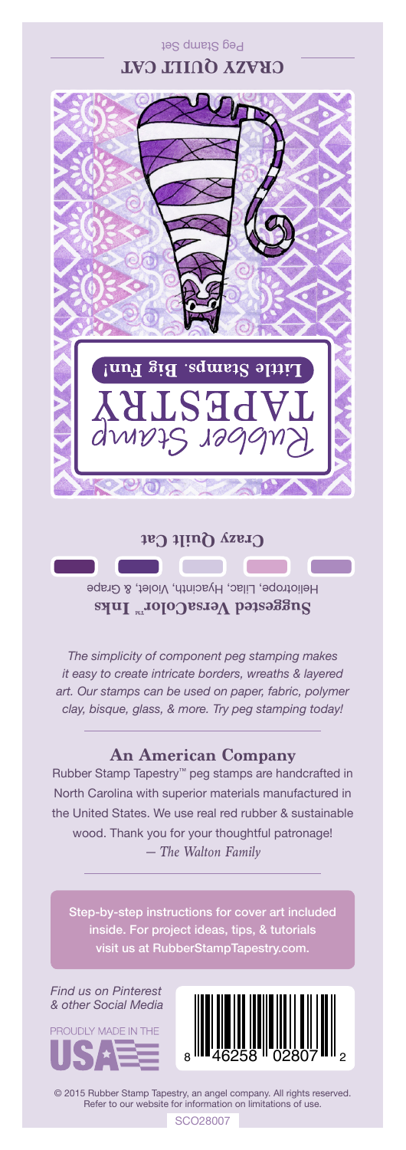

## **Crazy Quilt Cat**

**Suggested VersaColor** Inks Heliotrope, Lilac, Hyacinth, Violet, & Grape

*The simplicity of component peg stamping makes it easy to create intricate borders, wreaths & layered art. Our stamps can be used on paper, fabric, polymer clay, bisque, glass, & more. Try peg stamping today!*

## **An American Company**

*— The Walton Family* Rubber Stamp Tapestry™ peg stamps are handcrafted in North Carolina with superior materials manufactured in the United States. We use real red rubber & sustainable wood. Thank you for your thoughtful patronage!

inside. For project ideas, tips, & tutorials visit us at RubberStampTapestry.com.

*Find us on Pinterest & other Social Media*





© 2015 Rubber Stamp Tapestry, an angel company. All rights reserved. Refer to our website for information on limitations of use.